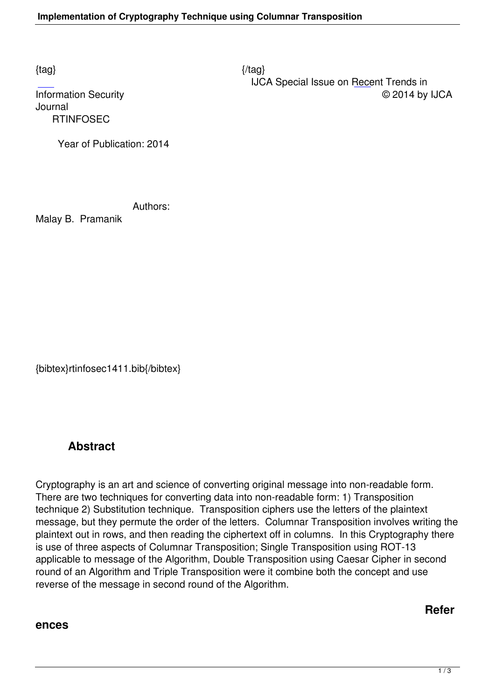$\{tag\}$ 

Journal  [R](http://research.ijcaonline.org/rtinfosec/number1/rtinfosec1411.pdf)TINFOSEC

 IJCA Special Issue on Recent Trends in Information Security © 2014 by IJCA

Year of Publication: 2014

Authors:

Malay B. Pramanik

{bibtex}rtinfosec1411.bib{/bibtex}

## **Abstract**

Cryptography is an art and science of converting original message into non-readable form. There are two techniques for converting data into non-readable form: 1) Transposition technique 2) Substitution technique. Transposition ciphers use the letters of the plaintext message, but they permute the order of the letters. Columnar Transposition involves writing the plaintext out in rows, and then reading the ciphertext off in columns. In this Cryptography there is use of three aspects of Columnar Transposition; Single Transposition using ROT-13 applicable to message of the Algorithm, Double Transposition using Caesar Cipher in second round of an Algorithm and Triple Transposition were it combine both the concept and use reverse of the message in second round of the Algorithm.

**Refer**

## **ences**